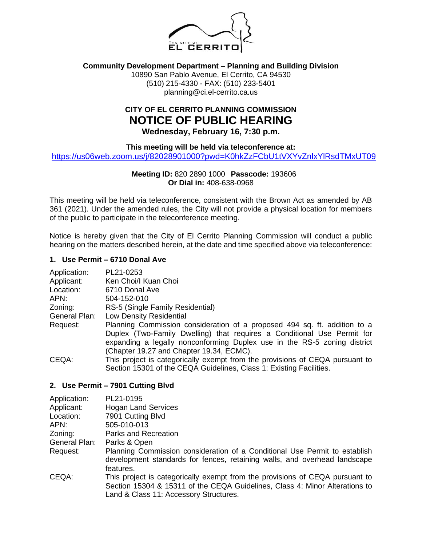

### **Community Development Department – Planning and Building Division**

10890 San Pablo Avenue, El Cerrito, CA 94530 (510) 215-4330 - FAX: (510) 233-5401 planning@ci.el-cerrito.ca.us

# **CITY OF EL CERRITO PLANNING COMMISSION NOTICE OF PUBLIC HEARING Wednesday, February 16, 7:30 p.m.**

**This meeting will be held via teleconference at:**

<https://us06web.zoom.us/j/82028901000?pwd=K0hkZzFCbU1tVXYvZnlxYlRsdTMxUT09>

### **Meeting ID:** 820 2890 1000 **Passcode:** 193606 **Or Dial in:** 408-638-0968

This meeting will be held via teleconference, consistent with the Brown Act as amended by AB 361 (2021). Under the amended rules, the City will not provide a physical location for members of the public to participate in the teleconference meeting.

Notice is hereby given that the City of El Cerrito Planning Commission will conduct a public hearing on the matters described herein, at the date and time specified above via teleconference:

## **1. Use Permit – 6710 Donal Ave**

| Application:  | PL21-0253                                                                    |
|---------------|------------------------------------------------------------------------------|
| Applicant:    | Ken Choi/I Kuan Choi                                                         |
| Location:     | 6710 Donal Ave                                                               |
| APN:          | 504-152-010                                                                  |
| Zoning:       | RS-5 (Single Family Residential)                                             |
| General Plan: | <b>Low Density Residential</b>                                               |
| Request:      | Planning Commission consideration of a proposed 494 sq. ft. addition to a    |
|               | Duplex (Two-Family Dwelling) that requires a Conditional Use Permit for      |
|               | expanding a legally nonconforming Duplex use in the RS-5 zoning district     |
|               | (Chapter 19.27 and Chapter 19.34, ECMC).                                     |
| CEQA:         | This project is categorically exempt from the provisions of CEQA pursuant to |
|               | Section 15301 of the CEQA Guidelines, Class 1: Existing Facilities.          |

#### **2. Use Permit – 7901 Cutting Blvd**

| Application:  | PL21-0195                                                                                                                                                                                             |
|---------------|-------------------------------------------------------------------------------------------------------------------------------------------------------------------------------------------------------|
| Applicant:    | <b>Hogan Land Services</b>                                                                                                                                                                            |
| Location:     | 7901 Cutting Blvd                                                                                                                                                                                     |
| APN:          | 505-010-013                                                                                                                                                                                           |
| Zoning:       | Parks and Recreation                                                                                                                                                                                  |
| General Plan: | Parks & Open                                                                                                                                                                                          |
| Request:      | Planning Commission consideration of a Conditional Use Permit to establish<br>development standards for fences, retaining walls, and overhead landscape<br>features.                                  |
| CEQA:         | This project is categorically exempt from the provisions of CEQA pursuant to<br>Section 15304 & 15311 of the CEQA Guidelines, Class 4: Minor Alterations to<br>Land & Class 11: Accessory Structures. |